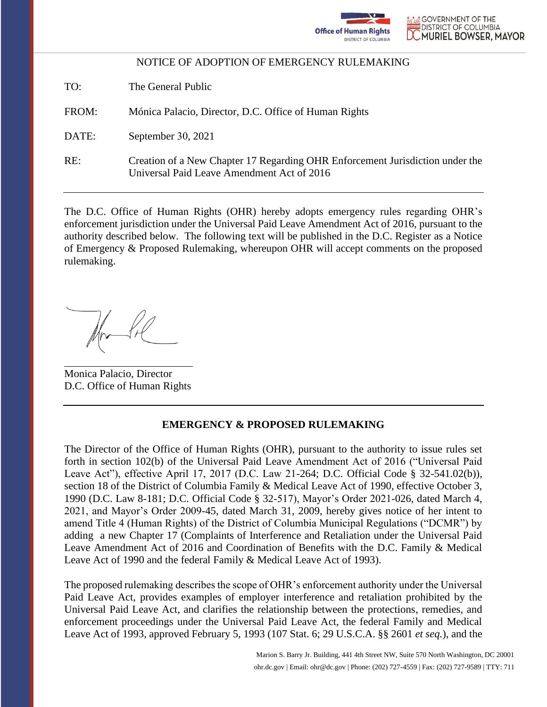

TO: The General Public

FROM: Mónica Palacio, Director, D.C. Office of Human Rights

DATE: September 30, 2021

 $RE:$ Creation of a New Chapter 17 Regarding OHR Enforcement Jurisdiction under the Universal Paid Leave Amendment Act of 2016

The D.C. Office of Human Rights (OHR) hereby adopts emergency rules regarding OHR's enforcement jurisdiction under the Universal Paid Leave Amendment Act of 2016, pursuant to the authority described below. The following text will be published in the D.C. Register as a Notice of Emergency & Proposed Rulemaking, whereupon OHR will accept comments on the proposed rulemaking.

Monica Palacio, Director D.C. Office of Human Rights

### **EMERGENCY & PROPOSED RULEMAKING**

The Director of the Office of Human Rights (OHR), pursuant to the authority to issue rules set forth in section 102(b) of the Universal Paid Leave Amendment Act of 2016 ("Universal Paid Leave Act"), effective April 17, 2017 (D.C. Law 21-264; D.C. Official Code § 32-541.02(b)), section 18 of the District of Columbia Family & Medical Leave Act of 1990, effective October 3, 1990 (D.C. Law 8-181; D.C. Official Code § 32-517), Mayor's Order 2021-026, dated March 4, 2021, and Mayor's Order 2009-45, dated March 31, 2009, hereby gives notice of her intent to amend Title 4 (Human Rights) of the District of Columbia Municipal Regulations ("DCMR") by adding a new Chapter 17 (Complaints of Interference and Retaliation under the Universal Paid Leave Amendment Act of 2016 and Coordination of Benefits with the D.C. Family & Medical Leave Act of 1990 and the federal Family & Medical Leave Act of 1993).

The proposed rulemaking describes the scope of OHR's enforcement authority under the Universal Paid Leave Act, provides examples of employer interference and retaliation prohibited by the Universal Paid Leave Act, and clarifies the relationship between the protections, remedies, and enforcement proceedings under the Universal Paid Leave Act, the federal Family and Medical Leave Act of 1993, approved February 5, 1993 (107 Stat. 6; 29 U.S.C.A. §§ 2601 *et seq.*), and the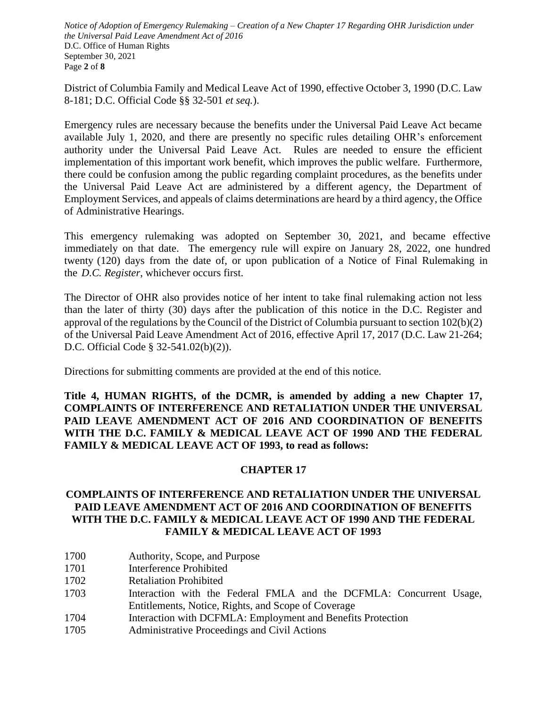*Notice of Adoption of Emergency Rulemaking – Creation of a New Chapter 17 Regarding OHR Jurisdiction under the Universal Paid Leave Amendment Act of 2016*  D.C. Office of Human Rights September 30, 2021 Page **2** of **8**

District of Columbia Family and Medical Leave Act of 1990, effective October 3, 1990 (D.C. Law 8-181; D.C. Official Code §§ 32-501 *et seq.*).

Emergency rules are necessary because the benefits under the Universal Paid Leave Act became available July 1, 2020, and there are presently no specific rules detailing OHR's enforcement authority under the Universal Paid Leave Act. Rules are needed to ensure the efficient implementation of this important work benefit, which improves the public welfare. Furthermore, there could be confusion among the public regarding complaint procedures, as the benefits under the Universal Paid Leave Act are administered by a different agency, the Department of Employment Services, and appeals of claims determinations are heard by a third agency, the Office of Administrative Hearings.

This emergency rulemaking was adopted on September 30, 2021, and became effective immediately on that date. The emergency rule will expire on January 28, 2022, one hundred twenty (120) days from the date of, or upon publication of a Notice of Final Rulemaking in the *D.C. Register*, whichever occurs first.

The Director of OHR also provides notice of her intent to take final rulemaking action not less than the later of thirty (30) days after the publication of this notice in the D.C. Register and approval of the regulations by the Council of the District of Columbia pursuant to section 102(b)(2) of the Universal Paid Leave Amendment Act of 2016, effective April 17, 2017 (D.C. Law 21-264; D.C. Official Code § 32-541.02(b)(2)).

Directions for submitting comments are provided at the end of this notice.

**Title 4, HUMAN RIGHTS, of the DCMR, is amended by adding a new Chapter 17, COMPLAINTS OF INTERFERENCE AND RETALIATION UNDER THE UNIVERSAL PAID LEAVE AMENDMENT ACT OF 2016 AND COORDINATION OF BENEFITS WITH THE D.C. FAMILY & MEDICAL LEAVE ACT OF 1990 AND THE FEDERAL FAMILY & MEDICAL LEAVE ACT OF 1993, to read as follows:** 

# **CHAPTER 17**

# **COMPLAINTS OF INTERFERENCE AND RETALIATION UNDER THE UNIVERSAL PAID LEAVE AMENDMENT ACT OF 2016 AND COORDINATION OF BENEFITS WITH THE D.C. FAMILY & MEDICAL LEAVE ACT OF 1990 AND THE FEDERAL FAMILY & MEDICAL LEAVE ACT OF 1993**

- 1700 Authority, Scope, and Purpose
- 1701 Interference Prohibited
- 1702 Retaliation Prohibited
- 1703 Interaction with the Federal FMLA and the DCFMLA: Concurrent Usage, Entitlements, Notice, Rights, and Scope of Coverage
- 1704 Interaction with DCFMLA: Employment and Benefits Protection
- 1705 Administrative Proceedings and Civil Actions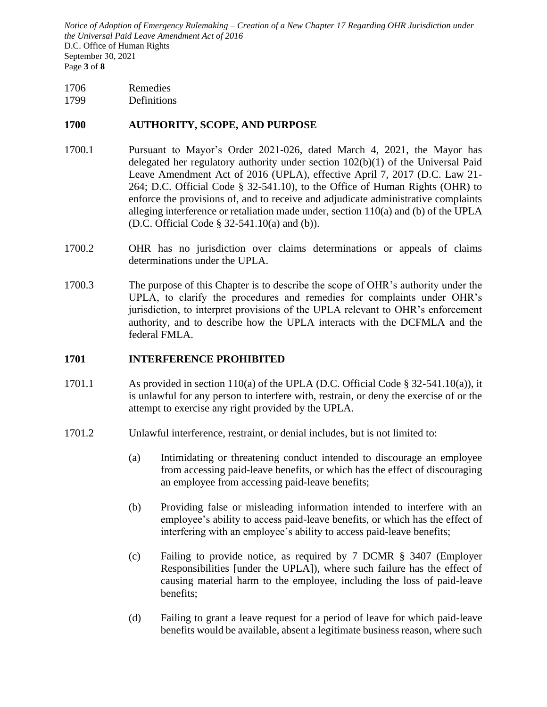*Notice of Adoption of Emergency Rulemaking – Creation of a New Chapter 17 Regarding OHR Jurisdiction under the Universal Paid Leave Amendment Act of 2016*  D.C. Office of Human Rights September 30, 2021 Page **3** of **8**

1706 Remedies

1799 Definitions

## **1700 AUTHORITY, SCOPE, AND PURPOSE**

- 1700.1 Pursuant to Mayor's Order 2021-026, dated March 4, 2021, the Mayor has delegated her regulatory authority under section 102(b)(1) of the Universal Paid Leave Amendment Act of 2016 (UPLA), effective April 7, 2017 (D.C. Law 21- 264; D.C. Official Code § 32-541.10), to the Office of Human Rights (OHR) to enforce the provisions of, and to receive and adjudicate administrative complaints alleging interference or retaliation made under, section 110(a) and (b) of the UPLA (D.C. Official Code § 32-541.10(a) and (b)).
- 1700.2 OHR has no jurisdiction over claims determinations or appeals of claims determinations under the UPLA.
- 1700.3 The purpose of this Chapter is to describe the scope of OHR's authority under the UPLA, to clarify the procedures and remedies for complaints under OHR's jurisdiction, to interpret provisions of the UPLA relevant to OHR's enforcement authority, and to describe how the UPLA interacts with the DCFMLA and the federal FMLA.

### **1701 INTERFERENCE PROHIBITED**

- 1701.1 As provided in section 110(a) of the UPLA (D.C. Official Code  $\S 32-541.10(a)$ ), it is unlawful for any person to interfere with, restrain, or deny the exercise of or the attempt to exercise any right provided by the UPLA.
- 1701.2 Unlawful interference, restraint, or denial includes, but is not limited to:
	- (a) Intimidating or threatening conduct intended to discourage an employee from accessing paid-leave benefits, or which has the effect of discouraging an employee from accessing paid-leave benefits;
	- (b) Providing false or misleading information intended to interfere with an employee's ability to access paid-leave benefits, or which has the effect of interfering with an employee's ability to access paid-leave benefits;
	- (c) Failing to provide notice, as required by 7 DCMR § 3407 (Employer Responsibilities [under the UPLA]), where such failure has the effect of causing material harm to the employee, including the loss of paid-leave benefits;
	- (d) Failing to grant a leave request for a period of leave for which paid-leave benefits would be available, absent a legitimate business reason, where such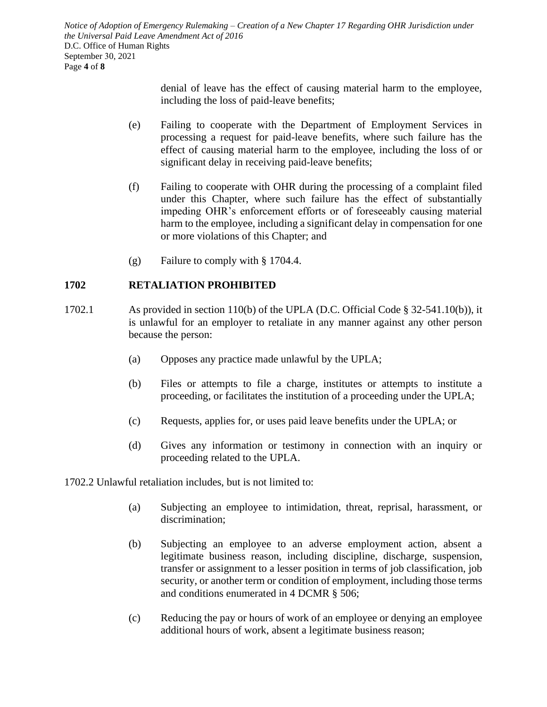*Notice of Adoption of Emergency Rulemaking – Creation of a New Chapter 17 Regarding OHR Jurisdiction under the Universal Paid Leave Amendment Act of 2016*  D.C. Office of Human Rights September 30, 2021 Page **4** of **8**

> denial of leave has the effect of causing material harm to the employee, including the loss of paid-leave benefits;

- (e) Failing to cooperate with the Department of Employment Services in processing a request for paid-leave benefits, where such failure has the effect of causing material harm to the employee, including the loss of or significant delay in receiving paid-leave benefits;
- (f) Failing to cooperate with OHR during the processing of a complaint filed under this Chapter, where such failure has the effect of substantially impeding OHR's enforcement efforts or of foreseeably causing material harm to the employee, including a significant delay in compensation for one or more violations of this Chapter; and
- (g) Failure to comply with § 1704.4.

### **1702 RETALIATION PROHIBITED**

- 1702.1 As provided in section 110(b) of the UPLA (D.C. Official Code § 32-541.10(b)), it is unlawful for an employer to retaliate in any manner against any other person because the person:
	- (a) Opposes any practice made unlawful by the UPLA;
	- (b) Files or attempts to file a charge, institutes or attempts to institute a proceeding, or facilitates the institution of a proceeding under the UPLA;
	- (c) Requests, applies for, or uses paid leave benefits under the UPLA; or
	- (d) Gives any information or testimony in connection with an inquiry or proceeding related to the UPLA.

1702.2 Unlawful retaliation includes, but is not limited to:

- (a) Subjecting an employee to intimidation, threat, reprisal, harassment, or discrimination;
- (b) Subjecting an employee to an adverse employment action, absent a legitimate business reason, including discipline, discharge, suspension, transfer or assignment to a lesser position in terms of job classification, job security, or another term or condition of employment, including those terms and conditions enumerated in 4 DCMR § 506;
- (c) Reducing the pay or hours of work of an employee or denying an employee additional hours of work, absent a legitimate business reason;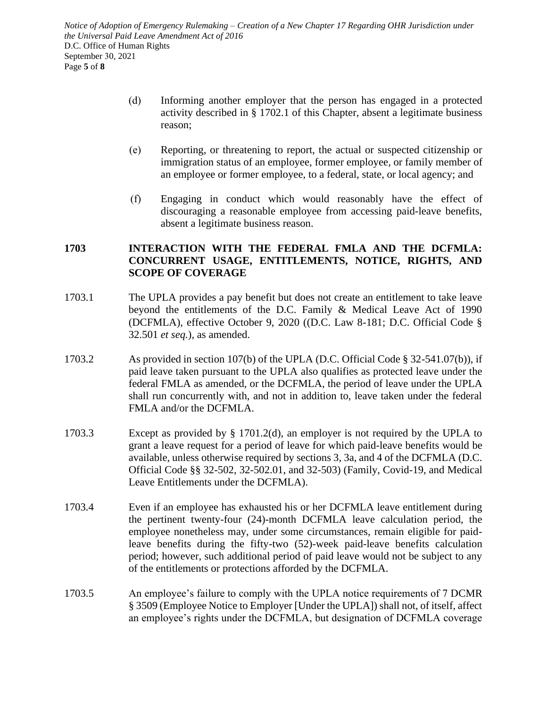*Notice of Adoption of Emergency Rulemaking – Creation of a New Chapter 17 Regarding OHR Jurisdiction under the Universal Paid Leave Amendment Act of 2016* D.C. Office of Human Rights September 30, 2021 Page **5** of **8**

- (d) Informing another employer that the person has engaged in a protected activity described in § 1702.1 of this Chapter, absent a legitimate business reason;
- (e) Reporting, or threatening to report, the actual or suspected citizenship or immigration status of an employee, former employee, or family member of an employee or former employee, to a federal, state, or local agency; and
- (f) Engaging in conduct which would reasonably have the effect of discouraging a reasonable employee from accessing paid-leave benefits, absent a legitimate business reason.

# **1703 INTERACTION WITH THE FEDERAL FMLA AND THE DCFMLA: CONCURRENT USAGE, ENTITLEMENTS, NOTICE, RIGHTS, AND SCOPE OF COVERAGE**

- 1703.1 The UPLA provides a pay benefit but does not create an entitlement to take leave beyond the entitlements of the D.C. Family & Medical Leave Act of 1990 (DCFMLA), effective October 9, 2020 ((D.C. Law 8-181; D.C. Official Code § 32.501 *et seq.*), as amended.
- 1703.2 As provided in section 107(b) of the UPLA (D.C. Official Code § 32-541.07(b)), if paid leave taken pursuant to the UPLA also qualifies as protected leave under the federal FMLA as amended, or the DCFMLA, the period of leave under the UPLA shall run concurrently with, and not in addition to, leave taken under the federal FMLA and/or the DCFMLA.
- 1703.3 Except as provided by § 1701.2(d), an employer is not required by the UPLA to grant a leave request for a period of leave for which paid-leave benefits would be available, unless otherwise required by sections 3, 3a, and 4 of the DCFMLA (D.C. Official Code §§ 32-502, 32-502.01, and 32-503) (Family, Covid-19, and Medical Leave Entitlements under the DCFMLA).
- 1703.4 Even if an employee has exhausted his or her DCFMLA leave entitlement during the pertinent twenty-four (24)-month DCFMLA leave calculation period, the employee nonetheless may, under some circumstances, remain eligible for paidleave benefits during the fifty-two (52)-week paid-leave benefits calculation period; however, such additional period of paid leave would not be subject to any of the entitlements or protections afforded by the DCFMLA.
- 1703.5 An employee's failure to comply with the UPLA notice requirements of 7 DCMR § 3509 (Employee Notice to Employer [Under the UPLA]) shall not, of itself, affect an employee's rights under the DCFMLA, but designation of DCFMLA coverage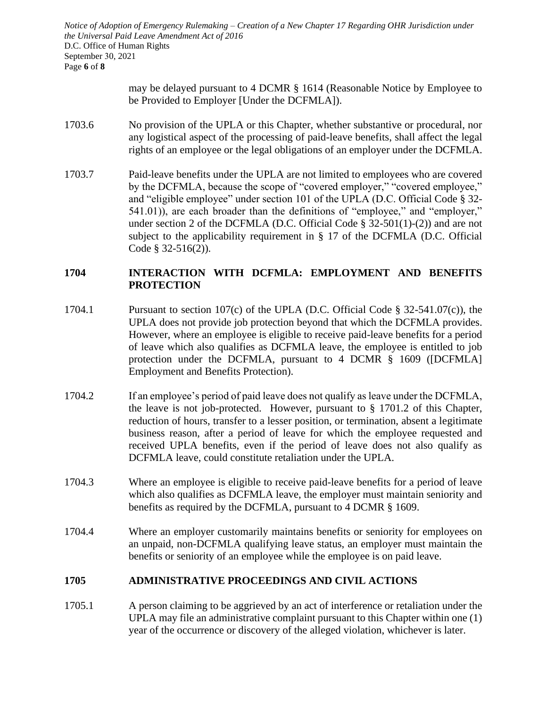*Notice of Adoption of Emergency Rulemaking – Creation of a New Chapter 17 Regarding OHR Jurisdiction under the Universal Paid Leave Amendment Act of 2016*  D.C. Office of Human Rights September 30, 2021 Page **6** of **8**

> may be delayed pursuant to 4 DCMR § 1614 (Reasonable Notice by Employee to be Provided to Employer [Under the DCFMLA]).

- 1703.6 No provision of the UPLA or this Chapter, whether substantive or procedural, nor any logistical aspect of the processing of paid-leave benefits, shall affect the legal rights of an employee or the legal obligations of an employer under the DCFMLA.
- 1703.7 Paid-leave benefits under the UPLA are not limited to employees who are covered by the DCFMLA, because the scope of "covered employer," "covered employee," and "eligible employee" under section 101 of the UPLA (D.C. Official Code § 32- 541.01)), are each broader than the definitions of "employee," and "employer," under section 2 of the DCFMLA (D.C. Official Code  $\S$  32-501(1)-(2)) and are not subject to the applicability requirement in § 17 of the DCFMLA (D.C. Official Code § 32-516(2)).

## **1704 INTERACTION WITH DCFMLA: EMPLOYMENT AND BENEFITS PROTECTION**

- 1704.1 Pursuant to section 107(c) of the UPLA (D.C. Official Code § 32-541.07(c)), the UPLA does not provide job protection beyond that which the DCFMLA provides. However, where an employee is eligible to receive paid-leave benefits for a period of leave which also qualifies as DCFMLA leave, the employee is entitled to job protection under the DCFMLA, pursuant to 4 DCMR § 1609 ([DCFMLA] Employment and Benefits Protection).
- 1704.2 If an employee's period of paid leave does not qualify as leave under the DCFMLA, the leave is not job-protected. However, pursuant to  $\S$  1701.2 of this Chapter, reduction of hours, transfer to a lesser position, or termination, absent a legitimate business reason, after a period of leave for which the employee requested and received UPLA benefits, even if the period of leave does not also qualify as DCFMLA leave, could constitute retaliation under the UPLA.
- 1704.3 Where an employee is eligible to receive paid-leave benefits for a period of leave which also qualifies as DCFMLA leave, the employer must maintain seniority and benefits as required by the DCFMLA, pursuant to 4 DCMR § 1609.
- 1704.4 Where an employer customarily maintains benefits or seniority for employees on an unpaid, non-DCFMLA qualifying leave status, an employer must maintain the benefits or seniority of an employee while the employee is on paid leave.

### **1705 ADMINISTRATIVE PROCEEDINGS AND CIVIL ACTIONS**

1705.1 A person claiming to be aggrieved by an act of interference or retaliation under the UPLA may file an administrative complaint pursuant to this Chapter within one (1) year of the occurrence or discovery of the alleged violation, whichever is later.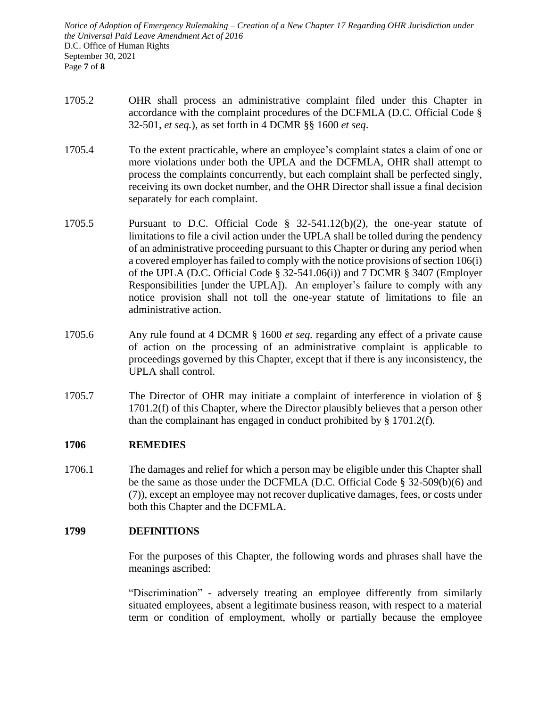*Notice of Adoption of Emergency Rulemaking – Creation of a New Chapter 17 Regarding OHR Jurisdiction under the Universal Paid Leave Amendment Act of 2016*  D.C. Office of Human Rights September 30, 2021 Page **7** of **8**

- 1705.2 OHR shall process an administrative complaint filed under this Chapter in accordance with the complaint procedures of the DCFMLA (D.C. Official Code § 32-501, *et seq.*), as set forth in 4 DCMR §§ 1600 *et seq*.
- 1705.4 To the extent practicable, where an employee's complaint states a claim of one or more violations under both the UPLA and the DCFMLA, OHR shall attempt to process the complaints concurrently, but each complaint shall be perfected singly, receiving its own docket number, and the OHR Director shall issue a final decision separately for each complaint.
- 1705.5 Pursuant to D.C. Official Code § 32-541.12(b)(2), the one-year statute of limitations to file a civil action under the UPLA shall be tolled during the pendency of an administrative proceeding pursuant to this Chapter or during any period when a covered employer has failed to comply with the notice provisions of section 106(i) of the UPLA (D.C. Official Code § 32-541.06(i)) and 7 DCMR § 3407 (Employer Responsibilities [under the UPLA]). An employer's failure to comply with any notice provision shall not toll the one-year statute of limitations to file an administrative action.
- 1705.6 Any rule found at 4 DCMR § 1600 *et seq.* regarding any effect of a private cause of action on the processing of an administrative complaint is applicable to proceedings governed by this Chapter, except that if there is any inconsistency, the UPLA shall control.
- 1705.7 The Director of OHR may initiate a complaint of interference in violation of § 1701.2(f) of this Chapter, where the Director plausibly believes that a person other than the complainant has engaged in conduct prohibited by § 1701.2(f).

### **1706 REMEDIES**

1706.1 The damages and relief for which a person may be eligible under this Chapter shall be the same as those under the DCFMLA (D.C. Official Code § 32-509(b)(6) and (7)), except an employee may not recover duplicative damages, fees, or costs under both this Chapter and the DCFMLA.

### **1799 DEFINITIONS**

For the purposes of this Chapter, the following words and phrases shall have the meanings ascribed:

"Discrimination" - adversely treating an employee differently from similarly situated employees, absent a legitimate business reason, with respect to a material term or condition of employment, wholly or partially because the employee